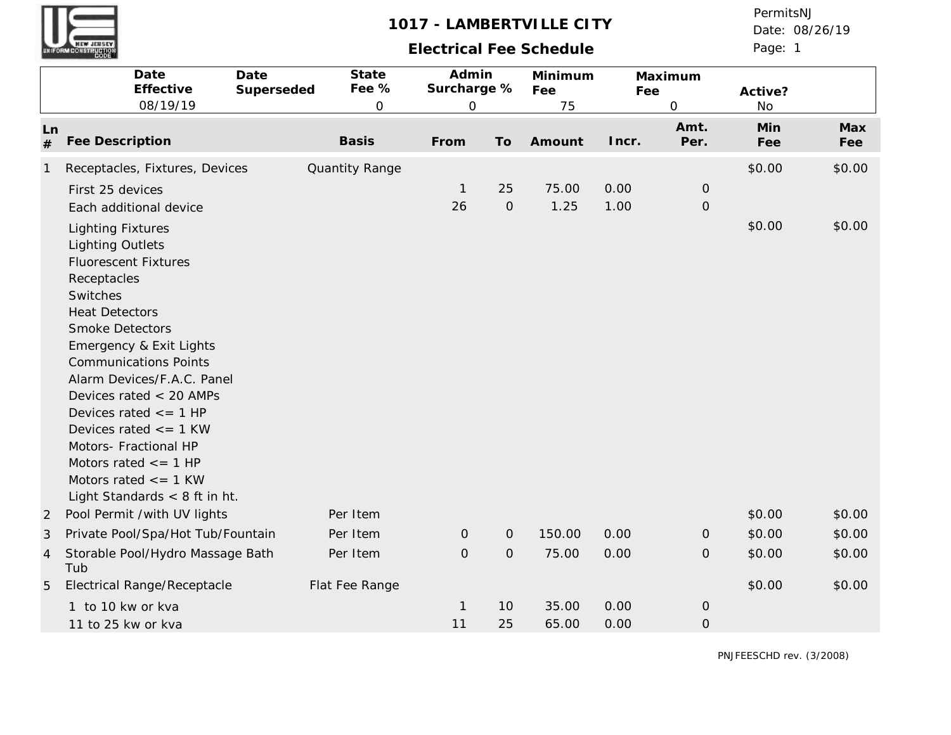| <b>WEW JERSEY</b><br>UNIFORM CONSTRUCTION |  |
|-------------------------------------------|--|

## **Electrical Fee Schedule**

Page: 1 Date: 08/26/19 PermitsNJ

|                | Date<br>Date<br>Effective<br>08/19/19                                                                                                                                                                                                                                                                                                                                                                                                                                     | State<br>Fee %<br>Superseded<br>0 | Admin<br>Surcharge %<br>$\mathbf 0$ |                     | Minimum<br>Fee<br>75 | Fee          | Maximum<br>0                 | Active?<br><b>No</b> |            |
|----------------|---------------------------------------------------------------------------------------------------------------------------------------------------------------------------------------------------------------------------------------------------------------------------------------------------------------------------------------------------------------------------------------------------------------------------------------------------------------------------|-----------------------------------|-------------------------------------|---------------------|----------------------|--------------|------------------------------|----------------------|------------|
| Ln<br>#        | <b>Fee Description</b>                                                                                                                                                                                                                                                                                                                                                                                                                                                    | <b>Basis</b>                      | From                                | To                  | Amount               | Incr.        | Amt.<br>Per.                 | Min<br>Fee           | Max<br>Fee |
| $\mathbf{1}$   | Receptacles, Fixtures, Devices                                                                                                                                                                                                                                                                                                                                                                                                                                            | Quantity Range                    |                                     |                     |                      |              |                              | \$0.00               | \$0.00     |
|                | First 25 devices<br>Each additional device                                                                                                                                                                                                                                                                                                                                                                                                                                |                                   | $\mathbf{1}$<br>26                  | 25<br>$\mathcal{O}$ | 75.00<br>1.25        | 0.00<br>1.00 | $\mathbf 0$<br>$\mathcal{O}$ |                      |            |
|                | <b>Lighting Fixtures</b><br><b>Lighting Outlets</b><br><b>Fluorescent Fixtures</b><br>Receptacles<br>Switches<br><b>Heat Detectors</b><br><b>Smoke Detectors</b><br>Emergency & Exit Lights<br><b>Communications Points</b><br>Alarm Devices/F.A.C. Panel<br>Devices rated < 20 AMPs<br>Devices rated $\leq$ = 1 HP<br>Devices rated $\le$ = 1 KW<br>Motors- Fractional HP<br>Motors rated $\leq$ = 1 HP<br>Motors rated $\leq$ = 1 KW<br>Light Standards $<$ 8 ft in ht. |                                   |                                     |                     |                      |              |                              | \$0.00               | \$0.00     |
| 2              | Pool Permit /with UV lights                                                                                                                                                                                                                                                                                                                                                                                                                                               | Per Item                          |                                     |                     |                      |              |                              | \$0.00               | \$0.00     |
| 3              | Private Pool/Spa/Hot Tub/Fountain                                                                                                                                                                                                                                                                                                                                                                                                                                         | Per Item                          | $\mathsf{O}\xspace$                 | $\mathsf O$         | 150.00               | 0.00         | $\mathbf 0$                  | \$0.00               | \$0.00     |
| $\overline{4}$ | Storable Pool/Hydro Massage Bath<br>Tub                                                                                                                                                                                                                                                                                                                                                                                                                                   | Per Item                          | $\overline{O}$                      | $\overline{O}$      | 75.00                | 0.00         | $\mathbf{O}$                 | \$0.00               | \$0.00     |
| 5              | Electrical Range/Receptacle                                                                                                                                                                                                                                                                                                                                                                                                                                               | Flat Fee Range                    |                                     |                     |                      |              |                              | \$0.00               | \$0.00     |
|                | 1 to 10 kw or kva                                                                                                                                                                                                                                                                                                                                                                                                                                                         |                                   | $\mathbf{1}$                        | 10                  | 35.00                | 0.00         | $\mathcal{O}$                |                      |            |
|                | 11 to 25 kw or kva                                                                                                                                                                                                                                                                                                                                                                                                                                                        |                                   | 11                                  | 25                  | 65.00                | 0.00         | $\mathsf{O}\xspace$          |                      |            |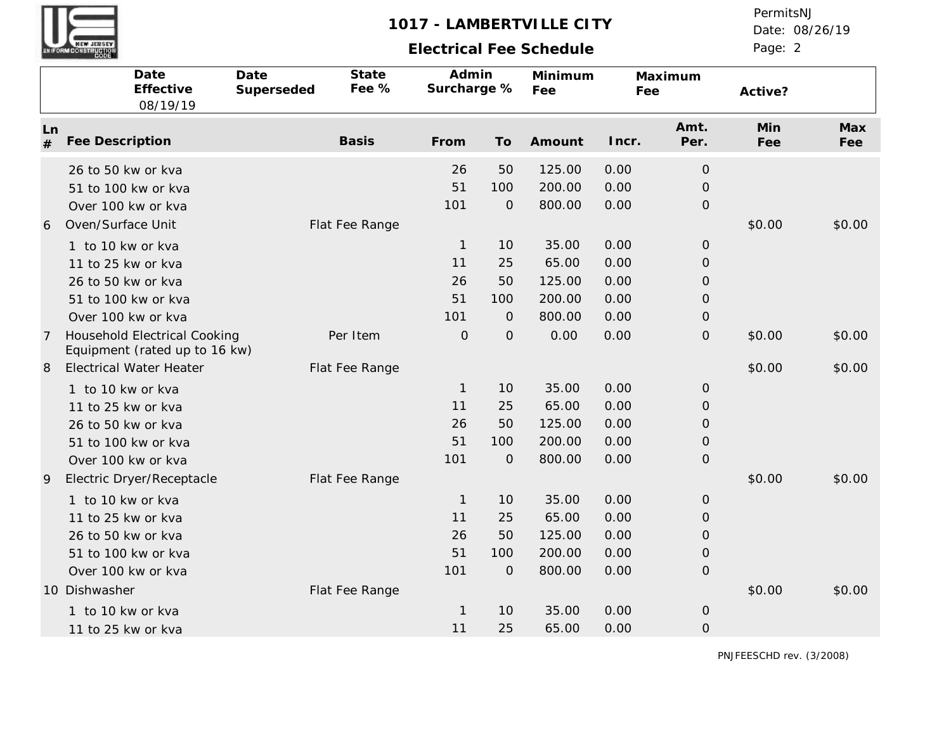# **Electrical Fee Schedule**

Date: 08/26/19 PermitsNJ

Page: 2

|         | Date<br>Effective<br>08/19/19                                                                                                                | Date<br>Superseded | State<br>Fee % | Admin<br>Surcharge %                  |                                         | Minimum<br>Fee                               | Fee                                  | Maximum                                                                         | Active?    |            |
|---------|----------------------------------------------------------------------------------------------------------------------------------------------|--------------------|----------------|---------------------------------------|-----------------------------------------|----------------------------------------------|--------------------------------------|---------------------------------------------------------------------------------|------------|------------|
| Ln<br># | Fee Description                                                                                                                              |                    | <b>Basis</b>   | From                                  | To                                      | Amount                                       | Incr.                                | Amt.<br>Per.                                                                    | Min<br>Fee | Max<br>Fee |
|         | 26 to 50 kw or kva<br>51 to 100 kw or kva<br>Over 100 kw or kva                                                                              |                    |                | 26<br>51<br>101                       | 50<br>100<br>$\mathbf{O}$               | 125.00<br>200.00<br>800.00                   | 0.00<br>0.00<br>0.00                 | $\mathbf{O}$<br>$\mathbf{O}$<br>$\mathbf{O}$                                    |            |            |
| 6       | Oven/Surface Unit<br>1 to 10 kw or kva<br>11 to 25 kw or kva<br>26 to 50 kw or kva<br>51 to 100 kw or kva<br>Over 100 kw or kva              |                    | Flat Fee Range | $\mathbf{1}$<br>11<br>26<br>51<br>101 | 10<br>25<br>50<br>100<br>$\overline{0}$ | 35.00<br>65.00<br>125.00<br>200.00<br>800.00 | 0.00<br>0.00<br>0.00<br>0.00<br>0.00 | $\mathbf 0$<br>$\mathbf 0$<br>$\mathcal{O}$<br>$\mathbf 0$<br>$\mathbf 0$       | \$0.00     | \$0.00     |
| 7       | <b>Household Electrical Cooking</b><br>Equipment (rated up to 16 kw)                                                                         |                    | Per Item       | $\mathcal{O}$                         | $\mathbf{O}$                            | 0.00                                         | 0.00                                 | $\mathcal{O}$                                                                   | \$0.00     | \$0.00     |
| 8       | <b>Electrical Water Heater</b><br>1 to 10 kw or kva<br>11 to 25 kw or kva<br>26 to 50 kw or kva<br>51 to 100 kw or kva<br>Over 100 kw or kva |                    | Flat Fee Range | $\mathbf{1}$<br>11<br>26<br>51<br>101 | 10<br>25<br>50<br>100<br>$\mathbf{O}$   | 35.00<br>65.00<br>125.00<br>200.00<br>800.00 | 0.00<br>0.00<br>0.00<br>0.00<br>0.00 | $\mathbf{O}$<br>$\mathcal{O}$<br>$\mathcal{O}$<br>$\mathbf 0$<br>$\overline{O}$ | \$0.00     | \$0.00     |
| 9       | Electric Dryer/Receptacle<br>1 to 10 kw or kva<br>11 to 25 kw or kva<br>26 to 50 kw or kva<br>51 to 100 kw or kva<br>Over 100 kw or kva      |                    | Flat Fee Range | $\mathbf{1}$<br>11<br>26<br>51<br>101 | 10<br>25<br>50<br>100<br>$\mathbf{O}$   | 35.00<br>65.00<br>125.00<br>200.00<br>800.00 | 0.00<br>0.00<br>0.00<br>0.00<br>0.00 | $\mathbf 0$<br>$\mathbf 0$<br>$\mathbf{O}$<br>$\mathcal{O}$<br>$\mathbf 0$      | \$0.00     | \$0.00     |
|         | 10 Dishwasher<br>1 to 10 kw or kva<br>11 to 25 kw or kva                                                                                     |                    | Flat Fee Range | $\mathbf{1}$<br>11                    | 10<br>25                                | 35.00<br>65.00                               | 0.00<br>0.00                         | $\mathbf{O}$<br>$\mathbf 0$                                                     | \$0.00     | \$0.00     |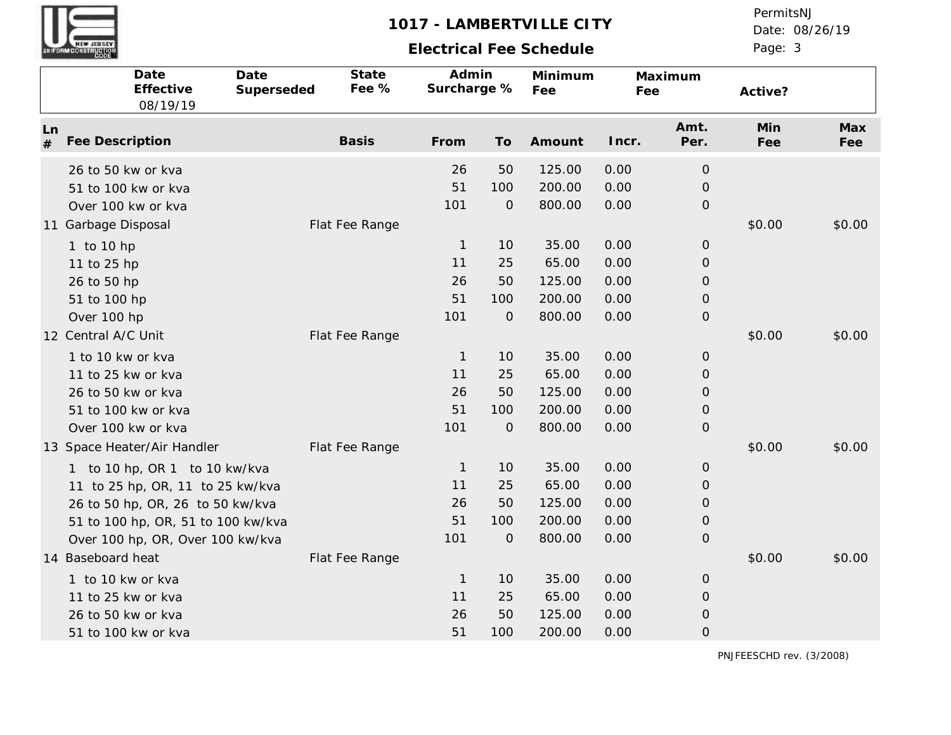# **Electrical Fee Schedule**

Date: 08/26/19 PermitsNJ

Page: 3

|         | Date<br>Effective<br>08/19/19                                                                                                                                                                                  | Date<br>Superseded | State<br>Fee % | Admin<br>Surcharge %                    |                                        | Minimum<br>Fee                               | Fee                                  | Maximum                                                                         | Active?    |            |
|---------|----------------------------------------------------------------------------------------------------------------------------------------------------------------------------------------------------------------|--------------------|----------------|-----------------------------------------|----------------------------------------|----------------------------------------------|--------------------------------------|---------------------------------------------------------------------------------|------------|------------|
| Ln<br># | Fee Description                                                                                                                                                                                                |                    | <b>Basis</b>   | From                                    | To                                     | Amount                                       | Incr.                                | Amt.<br>Per.                                                                    | Min<br>Fee | Max<br>Fee |
|         | 26 to 50 kw or kva<br>51 to 100 kw or kva<br>Over 100 kw or kva                                                                                                                                                |                    |                | 26<br>51<br>101                         | 50<br>100<br>$\mathbf{O}$              | 125.00<br>200.00<br>800.00                   | 0.00<br>0.00<br>0.00                 | $\mathbf{O}$<br>$\mathbf{O}$<br>$\mathsf O$                                     |            |            |
|         | 11 Garbage Disposal<br>1 to 10 hp<br>11 to 25 hp<br>26 to 50 hp<br>51 to 100 hp<br>Over 100 hp                                                                                                                 |                    | Flat Fee Range | $\mathbf{1}$<br>11<br>26<br>51<br>101   | 10<br>25<br>50<br>100<br>$\mathcal{O}$ | 35.00<br>65.00<br>125.00<br>200.00<br>800.00 | 0.00<br>0.00<br>0.00<br>0.00<br>0.00 | $\mathsf O$<br>$\mathbf{O}$<br>$\mathbf{O}$<br>$\mathcal{O}$<br>$\mathcal{O}$   | \$0.00     | \$0.00     |
|         | 12 Central A/C Unit<br>1 to 10 kw or kva<br>11 to 25 kw or kva<br>26 to 50 kw or kva<br>51 to 100 kw or kva<br>Over 100 kw or kva                                                                              |                    | Flat Fee Range | $\overline{1}$<br>11<br>26<br>51<br>101 | 10<br>25<br>50<br>100<br>$\mathcal{O}$ | 35.00<br>65.00<br>125.00<br>200.00<br>800.00 | 0.00<br>0.00<br>0.00<br>0.00<br>0.00 | $\mathsf O$<br>$\mathcal{O}$<br>$\mathsf O$<br>$\overline{O}$<br>$\mathcal{O}$  | \$0.00     | \$0.00     |
|         | 13 Space Heater/Air Handler<br>1 to 10 hp, OR 1 to 10 kw/kva<br>11 to 25 hp, OR, 11 to 25 kw/kva<br>26 to 50 hp, OR, 26 to 50 kw/kva<br>51 to 100 hp, OR, 51 to 100 kw/kva<br>Over 100 hp, OR, Over 100 kw/kva |                    | Flat Fee Range | $\overline{1}$<br>11<br>26<br>51<br>101 | 10<br>25<br>50<br>100<br>$\mathcal{O}$ | 35.00<br>65.00<br>125.00<br>200.00<br>800.00 | 0.00<br>0.00<br>0.00<br>0.00<br>0.00 | $\mathsf O$<br>$\mathcal{O}$<br>$\mathcal{O}$<br>$\mathcal{O}$<br>$\mathcal{O}$ | \$0.00     | \$0.00     |
|         | 14 Baseboard heat<br>1 to 10 kw or kva<br>11 to 25 kw or kva<br>26 to 50 kw or kva<br>51 to 100 kw or kva                                                                                                      |                    | Flat Fee Range | $\mathbf{1}$<br>11<br>26<br>51          | 10<br>25<br>50<br>100                  | 35.00<br>65.00<br>125.00<br>200.00           | 0.00<br>0.00<br>0.00<br>0.00         | $\mathsf O$<br>$\mathcal{O}$<br>$\mathbf{O}$<br>$\mathsf O$                     | \$0.00     | \$0.00     |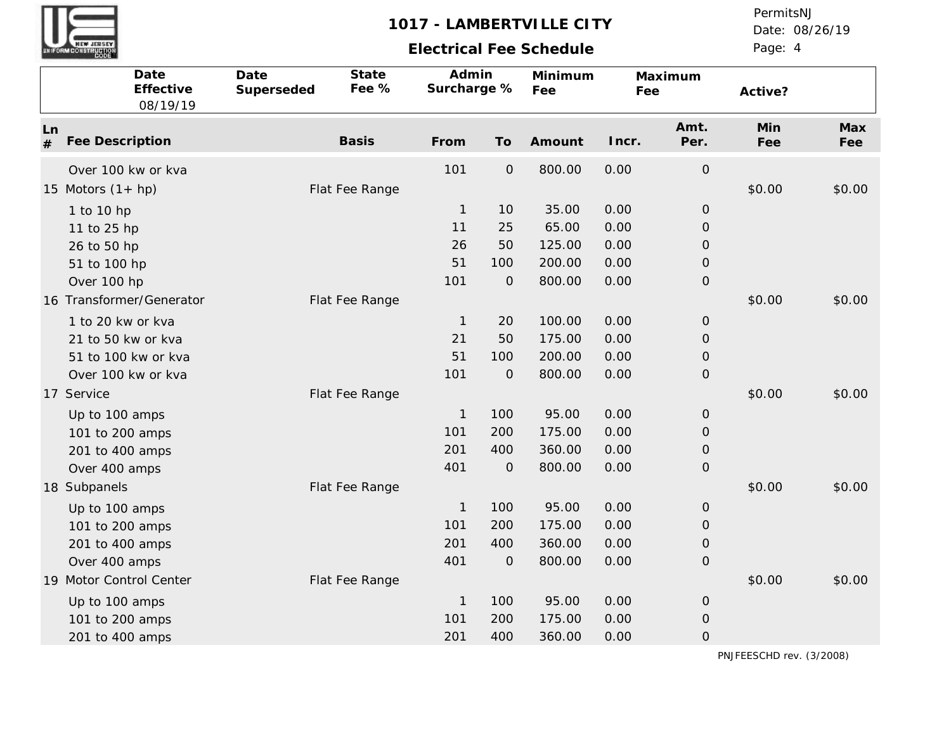

# **Electrical Fee Schedule**

Date: 08/26/19 PermitsNJ

Page: 4

|                                          | Date<br>Effective<br>08/19/19                                                                                    | Date<br>Superseded | State<br>Fee % | Admin<br>Surcharge %              |                                     | Minimum<br>Fee                       | Fee                          | Maximum                                                      | Active?    |            |
|------------------------------------------|------------------------------------------------------------------------------------------------------------------|--------------------|----------------|-----------------------------------|-------------------------------------|--------------------------------------|------------------------------|--------------------------------------------------------------|------------|------------|
| Ln<br>#                                  | Fee Description                                                                                                  |                    | <b>Basis</b>   | From                              | To                                  | Amount                               | Incr.                        | Amt.<br>Per.                                                 | Min<br>Fee | Max<br>Fee |
| 15 Motors $(1 + hp)$                     | Over 100 kw or kva                                                                                               |                    | Flat Fee Range | 101                               | $\mathsf O$                         | 800.00                               | 0.00                         | $\mathsf O$                                                  | \$0.00     | \$0.00     |
| 1 to 10 hp<br>11 to 25 hp<br>26 to 50 hp |                                                                                                                  |                    |                | $\overline{1}$<br>11<br>26        | 10<br>25<br>50                      | 35.00<br>65.00<br>125.00             | 0.00<br>0.00<br>0.00         | $\mathcal{O}$<br>$\mathbf 0$<br>$\mathbf 0$                  |            |            |
|                                          | 51 to 100 hp<br>Over 100 hp                                                                                      |                    |                | 51<br>101                         | 100<br>$\mathbf{O}$                 | 200.00<br>800.00                     | 0.00<br>0.00                 | $\mathbf 0$<br>$\mathbf{O}$                                  |            |            |
|                                          | 16 Transformer/Generator<br>1 to 20 kw or kva<br>21 to 50 kw or kva<br>51 to 100 kw or kva<br>Over 100 kw or kva |                    | Flat Fee Range | $\mathbf{1}$<br>21<br>51<br>101   | 20<br>50<br>100<br>$\mathbf{O}$     | 100.00<br>175.00<br>200.00<br>800.00 | 0.00<br>0.00<br>0.00<br>0.00 | $\mathbf{O}$<br>$\mathbf{O}$<br>$\mathbf 0$<br>$\mathbf 0$   | \$0.00     | \$0.00     |
| 17 Service                               | Up to 100 amps<br>101 to 200 amps<br>201 to 400 amps<br>Over 400 amps                                            |                    | Flat Fee Range | $\mathbf{1}$<br>101<br>201<br>401 | 100<br>200<br>400<br>$\overline{O}$ | 95.00<br>175.00<br>360.00<br>800.00  | 0.00<br>0.00<br>0.00<br>0.00 | $\mathbf 0$<br>$\mathbf{O}$<br>$\mathbf 0$<br>$\mathbf{O}$   | \$0.00     | \$0.00     |
| 18 Subpanels                             | Up to 100 amps<br>101 to 200 amps<br>201 to 400 amps<br>Over 400 amps                                            |                    | Flat Fee Range | $\mathbf{1}$<br>101<br>201<br>401 | 100<br>200<br>400<br>$\overline{O}$ | 95.00<br>175.00<br>360.00<br>800.00  | 0.00<br>0.00<br>0.00<br>0.00 | $\mathbf{O}$<br>$\overline{O}$<br>$\mathbf 0$<br>$\mathbf 0$ | \$0.00     | \$0.00     |
|                                          | 19 Motor Control Center<br>Up to 100 amps<br>101 to 200 amps<br>201 to 400 amps                                  |                    | Flat Fee Range | $\mathbf{1}$<br>101<br>201        | 100<br>200<br>400                   | 95.00<br>175.00<br>360.00            | 0.00<br>0.00<br>0.00         | $\mathbf{O}$<br>$\mathsf O$<br>$\overline{O}$                | \$0.00     | \$0.00     |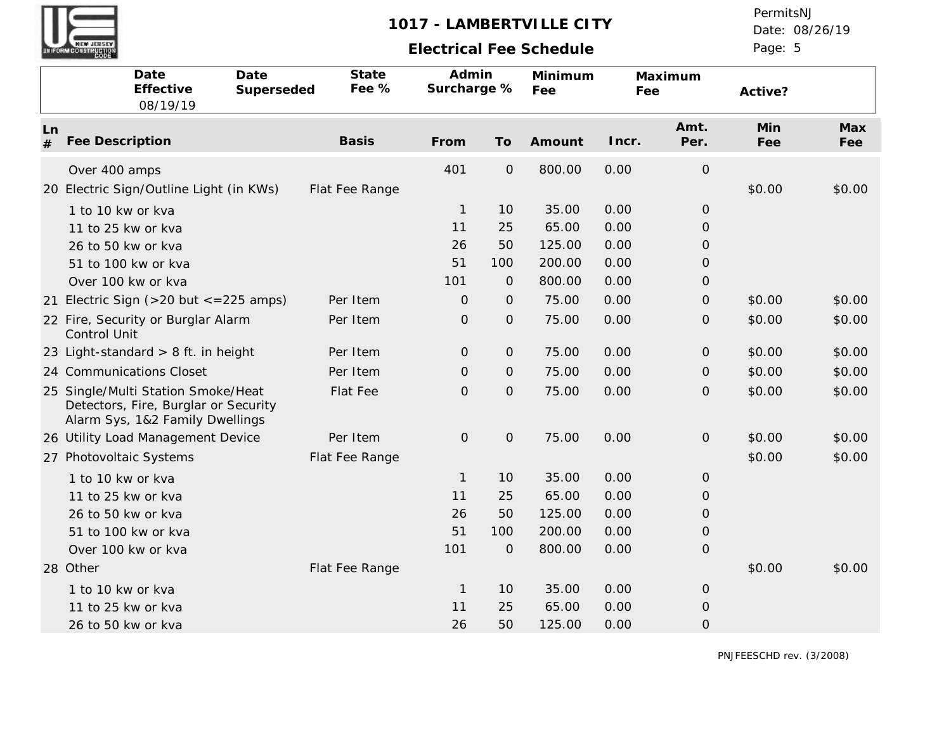

# **Electrical Fee Schedule**

Date: 08/26/19 PermitsNJ

Page: 5

| Date<br>Date<br>Effective<br>Superseded<br>08/19/19                                                           | State<br>Fee % | Admin<br>Surcharge % |                | Minimum<br>Fee | Fee   | Maximum             | Active?    |            |
|---------------------------------------------------------------------------------------------------------------|----------------|----------------------|----------------|----------------|-------|---------------------|------------|------------|
| Ln<br>Fee Description<br>#                                                                                    | <b>Basis</b>   | From                 | To             | Amount         | Incr. | Amt.<br>Per.        | Min<br>Fee | Max<br>Fee |
| Over 400 amps<br>20 Electric Sign/Outline Light (in KWs)                                                      | Flat Fee Range | 401                  | $\mathsf O$    | 800.00         | 0.00  | $\mathsf O$         | \$0.00     | \$0.00     |
| 1 to 10 kw or kva                                                                                             |                | $\mathbf{1}$         | 10             | 35.00          | 0.00  | $\overline{O}$      |            |            |
| 11 to 25 kw or kva                                                                                            |                | 11                   | 25             | 65.00          | 0.00  | $\mathsf{O}\xspace$ |            |            |
| 26 to 50 kw or kva                                                                                            |                | 26                   | 50             | 125.00         | 0.00  | O                   |            |            |
| 51 to 100 kw or kva                                                                                           |                | 51                   | 100            | 200.00         | 0.00  | $\overline{O}$      |            |            |
| Over 100 kw or kva                                                                                            |                | 101                  | $\mathbf{O}$   | 800.00         | 0.00  | $\overline{O}$      |            |            |
| 21 Electric Sign ( $>$ 20 but $\lt$ = 225 amps)                                                               | Per Item       | $\Omega$             | $\mathbf{O}$   | 75.00          | 0.00  | $\overline{O}$      | \$0.00     | \$0.00     |
| 22 Fire, Security or Burglar Alarm<br>Control Unit                                                            | Per Item       | $\mathsf O$          | $\mathsf O$    | 75.00          | 0.00  | $\overline{O}$      | \$0.00     | \$0.00     |
| 23 Light-standard $> 8$ ft. in height                                                                         | Per Item       | 0                    | $\mathbf{O}$   | 75.00          | 0.00  | $\overline{O}$      | \$0.00     | \$0.00     |
| 24 Communications Closet                                                                                      | Per Item       | $\mathbf 0$          | $\mathbf{O}$   | 75.00          | 0.00  | $\overline{O}$      | \$0.00     | \$0.00     |
| 25 Single/Multi Station Smoke/Heat<br>Detectors, Fire, Burglar or Security<br>Alarm Sys, 1&2 Family Dwellings | Flat Fee       | $\overline{O}$       | $\mathsf O$    | 75.00          | 0.00  | $\mathbf{O}$        | \$0.00     | \$0.00     |
| 26 Utility Load Management Device                                                                             | Per Item       | $\mathbf{O}$         | $\overline{O}$ | 75.00          | 0.00  | $\mathbf{O}$        | \$0.00     | \$0.00     |
| 27 Photovoltaic Systems                                                                                       | Flat Fee Range |                      |                |                |       |                     | \$0.00     | \$0.00     |
| 1 to 10 kw or kva                                                                                             |                | $\mathbf{1}$         | 10             | 35.00          | 0.00  | $\overline{O}$      |            |            |
| 11 to 25 kw or kva                                                                                            |                | 11                   | 25             | 65.00          | 0.00  | $\overline{O}$      |            |            |
| 26 to 50 kw or kva                                                                                            |                | 26                   | 50             | 125.00         | 0.00  | $\overline{O}$      |            |            |
| 51 to 100 kw or kva                                                                                           |                | 51                   | 100            | 200.00         | 0.00  | $\overline{O}$      |            |            |
| Over 100 kw or kva                                                                                            |                | 101                  | $\mathcal{O}$  | 800.00         | 0.00  | $\overline{O}$      |            |            |
| 28 Other                                                                                                      | Flat Fee Range |                      |                |                |       |                     | \$0.00     | \$0.00     |
| 1 to 10 kw or kva                                                                                             |                | $\mathbf{1}$         | 10             | 35.00          | 0.00  | $\mathbf{O}$        |            |            |
| 11 to 25 kw or kva                                                                                            |                | 11                   | 25             | 65.00          | 0.00  | $\mathbf 0$         |            |            |
| 26 to 50 kw or kva                                                                                            |                | 26                   | 50             | 125.00         | 0.00  | $\mathcal{O}$       |            |            |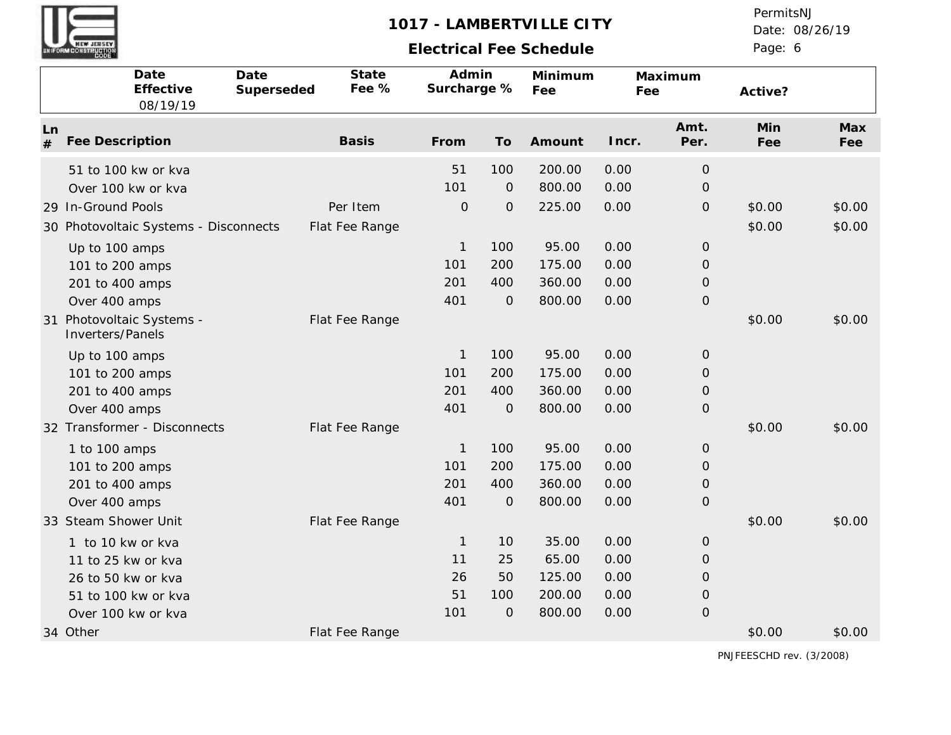

## **Electrical Fee Schedule**

Date: 08/26/19 PermitsNJ

Page: 6

|         | Date<br>Date<br>Effective<br>08/19/19                       | Superseded | State<br>Fee %             | Admin<br>Surcharge % |                       | Minimum<br>Fee   | Fee          | Maximum                       | Active?          |                  |
|---------|-------------------------------------------------------------|------------|----------------------------|----------------------|-----------------------|------------------|--------------|-------------------------------|------------------|------------------|
| Ln<br># | Fee Description                                             |            | <b>Basis</b>               | From                 | To                    | Amount           | Incr.        | Amt.<br>Per.                  | Min<br>Fee       | Max<br>Fee       |
|         | 51 to 100 kw or kva<br>Over 100 kw or kva                   |            |                            | 51<br>101            | 100<br>$\mathcal{O}$  | 200.00<br>800.00 | 0.00<br>0.00 | $\mathsf O$<br>$\overline{O}$ |                  |                  |
|         | 29 In-Ground Pools<br>30 Photovoltaic Systems - Disconnects |            | Per Item<br>Flat Fee Range | $\mathcal{O}$        | $\mathsf O$           | 225.00           | 0.00         | $\mathsf O$                   | \$0.00<br>\$0.00 | \$0.00<br>\$0.00 |
|         | Up to 100 amps<br>101 to 200 amps                           |            |                            | $\mathbf{1}$<br>101  | 100<br>200            | 95.00<br>175.00  | 0.00<br>0.00 | $\mathcal{O}$<br>$\mathbf{O}$ |                  |                  |
|         | 201 to 400 amps<br>Over 400 amps                            |            |                            | 201<br>401           | 400<br>$\mathcal{O}$  | 360.00<br>800.00 | 0.00<br>0.00 | $\mathsf O$<br>$\mathsf O$    |                  |                  |
| 31      | Photovoltaic Systems -<br>Inverters/Panels                  |            | Flat Fee Range             |                      |                       |                  |              |                               | \$0.00           | \$0.00           |
|         | Up to 100 amps<br>101 to 200 amps                           |            |                            | 1<br>101             | 100<br>200            | 95.00<br>175.00  | 0.00<br>0.00 | $\mathcal{O}$<br>0            |                  |                  |
|         | 201 to 400 amps<br>Over 400 amps                            |            |                            | 201<br>401           | 400<br>$\overline{O}$ | 360.00<br>800.00 | 0.00<br>0.00 | $\mathbf{O}$<br>$\mathcal{O}$ |                  |                  |
|         | 32 Transformer - Disconnects<br>1 to 100 amps               |            | Flat Fee Range             | 1                    | 100                   | 95.00            | 0.00         | $\mathbf{O}$                  | \$0.00           | \$0.00           |
|         | 101 to 200 amps<br>201 to 400 amps                          |            |                            | 101<br>201           | 200<br>400            | 175.00<br>360.00 | 0.00<br>0.00 | 0<br>$\mathbf{O}$             |                  |                  |
|         | Over 400 amps<br>33 Steam Shower Unit                       |            | Flat Fee Range             | 401                  | $\mathbf{O}$          | 800.00           | 0.00         | $\mathcal{O}$                 | \$0.00           | \$0.00           |
|         | 1 to 10 kw or kva<br>11 to 25 kw or kva                     |            |                            | $\mathbf 1$<br>11    | 10<br>25              | 35.00<br>65.00   | 0.00<br>0.00 | $\mathbf{O}$<br>0             |                  |                  |
|         | 26 to 50 kw or kva<br>51 to 100 kw or kva                   |            |                            | 26<br>51             | 50<br>100             | 125.00<br>200.00 | 0.00<br>0.00 | $\mathbf{O}$<br>$\mathcal{O}$ |                  |                  |
|         | Over 100 kw or kva<br>34 Other                              |            | Flat Fee Range             | 101                  | $\mathbf{O}$          | 800.00           | 0.00         | $\mathbf 0$                   | \$0.00           | \$0.00           |